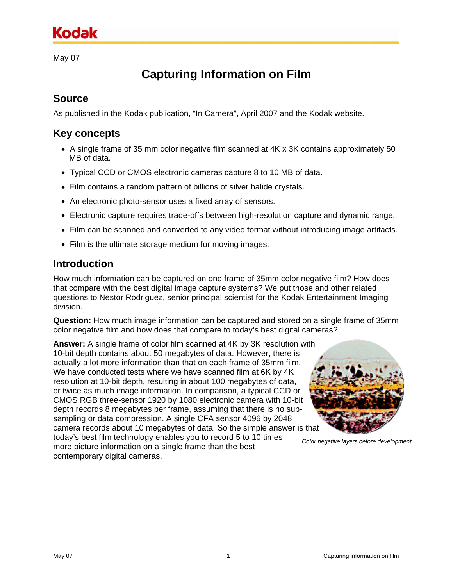# **Kodak**

May 07

## **Capturing Information on Film**

### **Source**

As published in the Kodak publication, "In Camera", April 2007 and the Kodak website.

### **Key concepts**

- A single frame of 35 mm color negative film scanned at 4K x 3K contains approximately 50 MB of data.
- Typical CCD or CMOS electronic cameras capture 8 to 10 MB of data.
- Film contains a random pattern of billions of silver halide crystals.
- An electronic photo-sensor uses a fixed array of sensors.
- Electronic capture requires trade-offs between high-resolution capture and dynamic range.
- Film can be scanned and converted to any video format without introducing image artifacts.
- Film is the ultimate storage medium for moving images.

#### **Introduction**

How much information can be captured on one frame of 35mm color negative film? How does that compare with the best digital image capture systems? We put those and other related questions to Nestor Rodriguez, senior principal scientist for the Kodak Entertainment Imaging division.

**Question:** How much image information can be captured and stored on a single frame of 35mm color negative film and how does that compare to today's best digital cameras?

**Answer:** A single frame of color film scanned at 4K by 3K resolution with 10-bit depth contains about 50 megabytes of data. However, there is actually a lot more information than that on each frame of 35mm film. We have conducted tests where we have scanned film at 6K by 4K resolution at 10-bit depth, resulting in about 100 megabytes of data, or twice as much image information. In comparison, a typical CCD or CMOS RGB three-sensor 1920 by 1080 electronic camera with 10-bit depth records 8 megabytes per frame, assuming that there is no subsampling or data compression. A single CFA sensor 4096 by 2048 camera records about 10 megabytes of data. So the simple answer is that today's best film technology enables you to record 5 to 10 times more picture information on a single frame than the best

contemporary digital cameras.



*Color negative layers before development*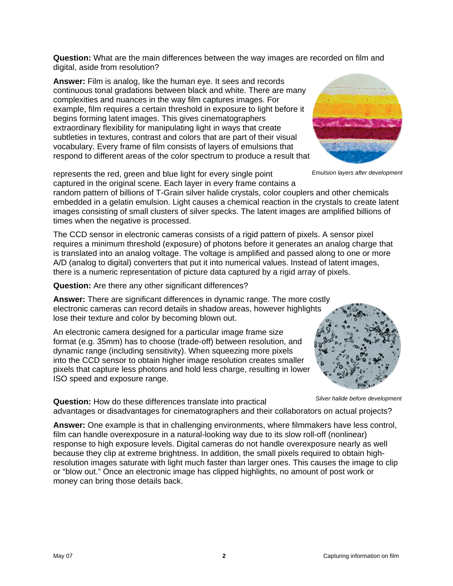**Question:** What are the main differences between the way images are recorded on film and digital, aside from resolution?

**Answer:** Film is analog, like the human eye. It sees and records continuous tonal gradations between black and white. There are many complexities and nuances in the way film captures images. For example, film requires a certain threshold in exposure to light before it begins forming latent images. This gives cinematographers extraordinary flexibility for manipulating light in ways that create subtleties in textures, contrast and colors that are part of their visual vocabulary. Every frame of film consists of layers of emulsions that respond to different areas of the color spectrum to produce a result that

represents the red, green and blue light for every single point captured in the original scene. Each layer in every frame contains a

random pattern of billions of T-Grain silver halide crystals, color couplers and other chemicals embedded in a gelatin emulsion. Light causes a chemical reaction in the crystals to create latent images consisting of small clusters of silver specks. The latent images are amplified billions of times when the negative is processed.

The CCD sensor in electronic cameras consists of a rigid pattern of pixels. A sensor pixel requires a minimum threshold (exposure) of photons before it generates an analog charge that is translated into an analog voltage. The voltage is amplified and passed along to one or more A/D (analog to digital) converters that put it into numerical values. Instead of latent images, there is a numeric representation of picture data captured by a rigid array of pixels.

**Question:** Are there any other significant differences?

**Answer:** There are significant differences in dynamic range. The more costly electronic cameras can record details in shadow areas, however highlights lose their texture and color by becoming blown out.

An electronic camera designed for a particular image frame size format (e.g. 35mm) has to choose (trade-off) between resolution, and dynamic range (including sensitivity). When squeezing more pixels into the CCD sensor to obtain higher image resolution creates smaller pixels that capture less photons and hold less charge, resulting in lower ISO speed and exposure range.

*Silver halide before development* **Question:** How do these differences translate into practical advantages or disadvantages for cinematographers and their collaborators on actual projects?

**Answer:** One example is that in challenging environments, where filmmakers have less control, film can handle overexposure in a natural-looking way due to its slow roll-off (nonlinear) response to high exposure levels. Digital cameras do not handle overexposure nearly as well because they clip at extreme brightness. In addition, the small pixels required to obtain highresolution images saturate with light much faster than larger ones. This causes the image to clip or "blow out." Once an electronic image has clipped highlights, no amount of post work or money can bring those details back.



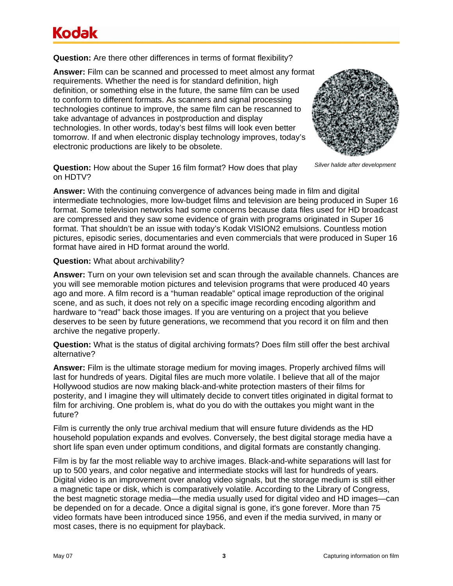# Kodak

**Question:** Are there other differences in terms of format flexibility?

**Answer:** Film can be scanned and processed to meet almost any format requirements. Whether the need is for standard definition, high definition, or something else in the future, the same film can be used to conform to different formats. As scanners and signal processing technologies continue to improve, the same film can be rescanned to take advantage of advances in postproduction and display technologies. In other words, today's best films will look even better tomorrow. If and when electronic display technology improves, today's electronic productions are likely to be obsolete.



*Silver halide after development* **Question:** How about the Super 16 film format? How does that play on HDTV?

**Answer:** With the continuing convergence of advances being made in film and digital intermediate technologies, more low-budget films and television are being produced in Super 16 format. Some television networks had some concerns because data files used for HD broadcast are compressed and they saw some evidence of grain with programs originated in Super 16 format. That shouldn't be an issue with today's Kodak VISION2 emulsions. Countless motion pictures, episodic series, documentaries and even commercials that were produced in Super 16 format have aired in HD format around the world.

**Question:** What about archivability?

**Answer:** Turn on your own television set and scan through the available channels. Chances are you will see memorable motion pictures and television programs that were produced 40 years ago and more. A film record is a "human readable" optical image reproduction of the original scene, and as such, it does not rely on a specific image recording encoding algorithm and hardware to "read" back those images. If you are venturing on a project that you believe deserves to be seen by future generations, we recommend that you record it on film and then archive the negative properly.

**Question:** What is the status of digital archiving formats? Does film still offer the best archival alternative?

**Answer:** Film is the ultimate storage medium for moving images. Properly archived films will last for hundreds of years. Digital files are much more volatile. I believe that all of the major Hollywood studios are now making black-and-white protection masters of their films for posterity, and I imagine they will ultimately decide to convert titles originated in digital format to film for archiving. One problem is, what do you do with the outtakes you might want in the future?

Film is currently the only true archival medium that will ensure future dividends as the HD household population expands and evolves. Conversely, the best digital storage media have a short life span even under optimum conditions, and digital formats are constantly changing.

Film is by far the most reliable way to archive images. Black-and-white separations will last for up to 500 years, and color negative and intermediate stocks will last for hundreds of years. Digital video is an improvement over analog video signals, but the storage medium is still either a magnetic tape or disk, which is comparatively volatile. According to the Library of Congress, the best magnetic storage media—the media usually used for digital video and HD images—can be depended on for a decade. Once a digital signal is gone, it's gone forever. More than 75 video formats have been introduced since 1956, and even if the media survived, in many or most cases, there is no equipment for playback.